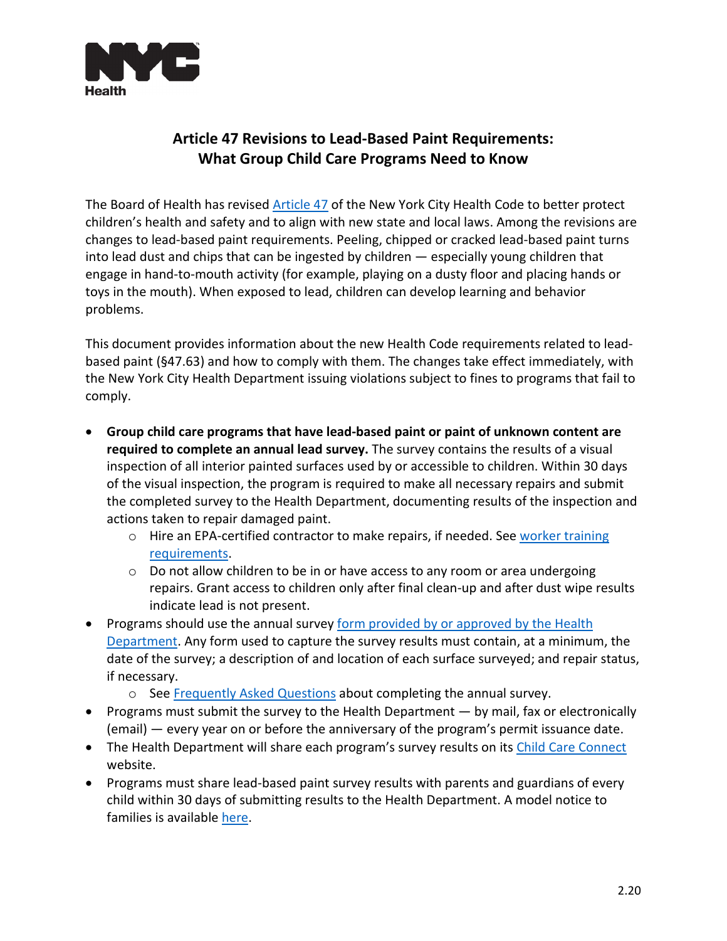

## **Article 47 Revisions to Lead-Based Paint Requirements: What Group Child Care Programs Need to Know**

The Board of Health has revised [Article 47](https://www1.nyc.gov/assets/doh/downloads/pdf/about/healthcode/health-code-article47.pdf) of the New York City Health Code to better protect children's health and safety and to align with new state and local laws. Among the revisions are changes to lead-based paint requirements. Peeling, chipped or cracked lead-based paint turns into lead dust and chips that can be ingested by children — especially young children that engage in hand-to-mouth activity (for example, playing on a dusty floor and placing hands or toys in the mouth). When exposed to lead, children can develop learning and behavior problems.

This document provides information about the new Health Code requirements related to leadbased paint (§47.63) and how to comply with them. The changes take effect immediately, with the New York City Health Department issuing violations subject to fines to programs that fail to comply.

- **Group child care programs that have lead-based paint or paint of unknown content are required to complete an annual lead survey.** The survey contains the results of a visual inspection of all interior painted surfaces used by or accessible to children. Within 30 days of the visual inspection, the program is required to make all necessary repairs and submit the completed survey to the Health Department, documenting results of the inspection and actions taken to repair damaged paint.
	- $\circ$  Hire an EPA-certified contractor to make repairs, if needed. See worker training [requirements.](https://www1.nyc.gov/assets/doh/downloads/pdf/lead/gdc-annual-survey-faqs.pdf)
	- $\circ$  Do not allow children to be in or have access to any room or area undergoing repairs. Grant access to children only after final clean-up and after dust wipe results indicate lead is not present.
- Programs should use the annual survey form [provided by](https://www1.nyc.gov/assets/doh/downloads/pdf/lead/gdc-annual-survey-form.pdf) or approved by the Health Department. Any form used to capture the survey results must contain, at a minimum, the date of the survey; a description of and location of each surface surveyed; and repair status, if necessary.
	- o See [Frequently Asked Questions](https://www1.nyc.gov/assets/doh/downloads/pdf/lead/gdc-annual-survey-faqs.pdf) about completing the annual survey.
- Programs must submit the survey to the Health Department by mail, fax or electronically (email) — every year on or before the anniversary of the program's permit issuance date.
- The Health Department will share each program's survey results on its [Child Care Connect](https://a816-healthpsi.nyc.gov/ChildCare/ChildCareList.do) website.
- Programs must share lead-based paint survey results with parents and guardians of every child within 30 days of submitting results to the Health Department. A model notice to families is availabl[e here.](https://www1.nyc.gov/assets/doh/downloads/pdf/dc/visual-inspection-model-notice.pdf)